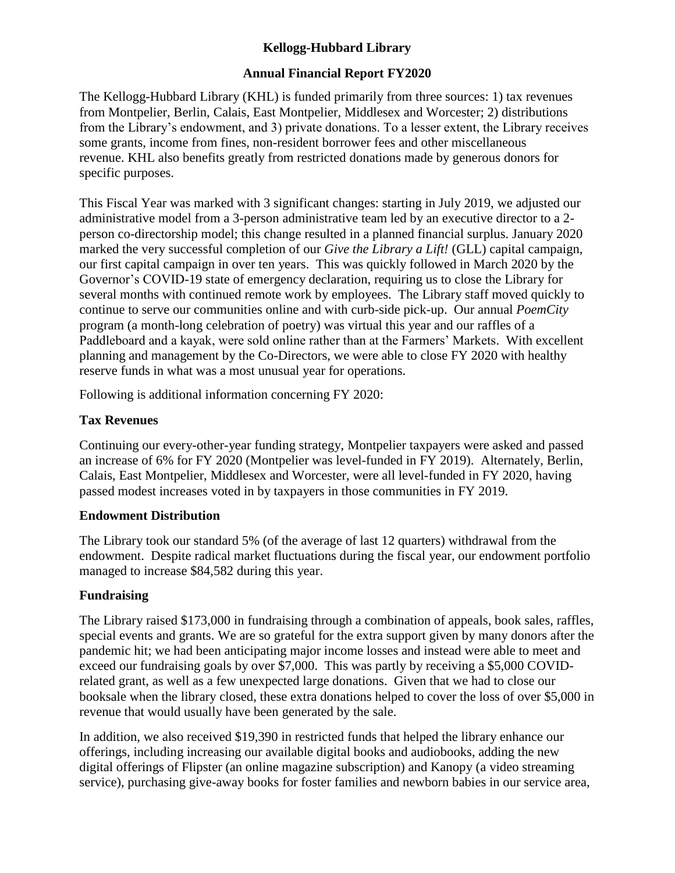## **Annual Financial Report FY2020**

The Kellogg-Hubbard Library (KHL) is funded primarily from three sources: 1) tax revenues from Montpelier, Berlin, Calais, East Montpelier, Middlesex and Worcester; 2) distributions from the Library's endowment, and 3) private donations. To a lesser extent, the Library receives some grants, income from fines, non-resident borrower fees and other miscellaneous revenue. KHL also benefits greatly from restricted donations made by generous donors for specific purposes.

This Fiscal Year was marked with 3 significant changes: starting in July 2019, we adjusted our administrative model from a 3-person administrative team led by an executive director to a 2 person co-directorship model; this change resulted in a planned financial surplus. January 2020 marked the very successful completion of our *Give the Library a Lift!* (GLL) capital campaign, our first capital campaign in over ten years. This was quickly followed in March 2020 by the Governor's COVID-19 state of emergency declaration, requiring us to close the Library for several months with continued remote work by employees. The Library staff moved quickly to continue to serve our communities online and with curb-side pick-up. Our annual *PoemCity*  program (a month-long celebration of poetry) was virtual this year and our raffles of a Paddleboard and a kayak, were sold online rather than at the Farmers' Markets. With excellent planning and management by the Co-Directors, we were able to close FY 2020 with healthy reserve funds in what was a most unusual year for operations.

Following is additional information concerning FY 2020:

## **Tax Revenues**

Continuing our every-other-year funding strategy, Montpelier taxpayers were asked and passed an increase of 6% for FY 2020 (Montpelier was level-funded in FY 2019). Alternately, Berlin, Calais, East Montpelier, Middlesex and Worcester, were all level-funded in FY 2020, having passed modest increases voted in by taxpayers in those communities in FY 2019.

## **Endowment Distribution**

The Library took our standard 5% (of the average of last 12 quarters) withdrawal from the endowment. Despite radical market fluctuations during the fiscal year, our endowment portfolio managed to increase \$84,582 during this year.

## **Fundraising**

The Library raised \$173,000 in fundraising through a combination of appeals, book sales, raffles, special events and grants. We are so grateful for the extra support given by many donors after the pandemic hit; we had been anticipating major income losses and instead were able to meet and exceed our fundraising goals by over \$7,000. This was partly by receiving a \$5,000 COVIDrelated grant, as well as a few unexpected large donations. Given that we had to close our booksale when the library closed, these extra donations helped to cover the loss of over \$5,000 in revenue that would usually have been generated by the sale.

In addition, we also received \$19,390 in restricted funds that helped the library enhance our offerings, including increasing our available digital books and audiobooks, adding the new digital offerings of Flipster (an online magazine subscription) and Kanopy (a video streaming service), purchasing give-away books for foster families and newborn babies in our service area,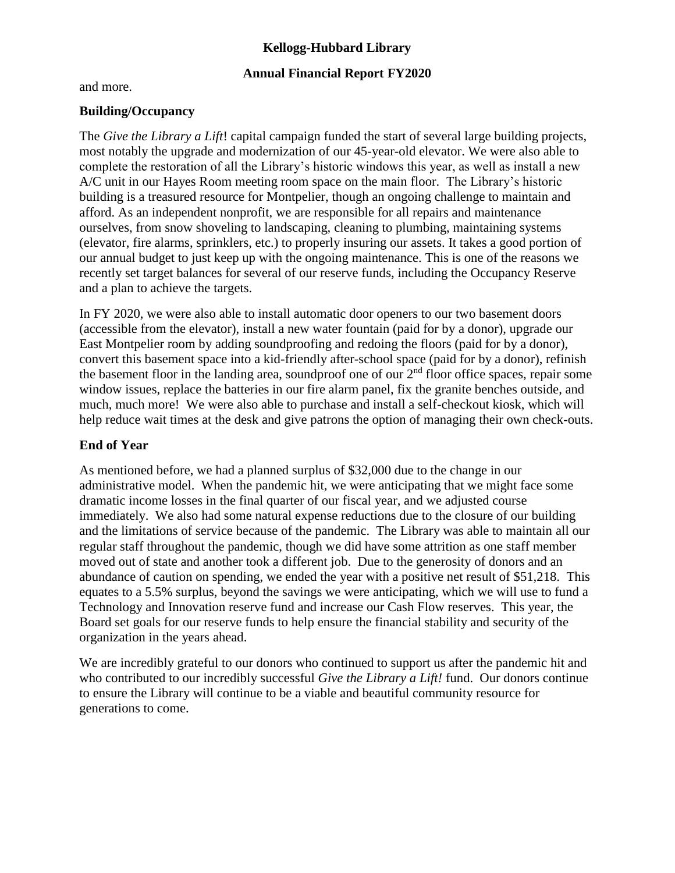### **Annual Financial Report FY2020**

and more.

#### **Building/Occupancy**

The *Give the Library a Lift*! capital campaign funded the start of several large building projects, most notably the upgrade and modernization of our 45-year-old elevator. We were also able to complete the restoration of all the Library's historic windows this year, as well as install a new A/C unit in our Hayes Room meeting room space on the main floor. The Library's historic building is a treasured resource for Montpelier, though an ongoing challenge to maintain and afford. As an independent nonprofit, we are responsible for all repairs and maintenance ourselves, from snow shoveling to landscaping, cleaning to plumbing, maintaining systems (elevator, fire alarms, sprinklers, etc.) to properly insuring our assets. It takes a good portion of our annual budget to just keep up with the ongoing maintenance. This is one of the reasons we recently set target balances for several of our reserve funds, including the Occupancy Reserve and a plan to achieve the targets.

In FY 2020, we were also able to install automatic door openers to our two basement doors (accessible from the elevator), install a new water fountain (paid for by a donor), upgrade our East Montpelier room by adding soundproofing and redoing the floors (paid for by a donor), convert this basement space into a kid-friendly after-school space (paid for by a donor), refinish the basement floor in the landing area, soundproof one of our  $2<sup>nd</sup>$  floor office spaces, repair some window issues, replace the batteries in our fire alarm panel, fix the granite benches outside, and much, much more! We were also able to purchase and install a self-checkout kiosk, which will help reduce wait times at the desk and give patrons the option of managing their own check-outs.

## **End of Year**

As mentioned before, we had a planned surplus of \$32,000 due to the change in our administrative model. When the pandemic hit, we were anticipating that we might face some dramatic income losses in the final quarter of our fiscal year, and we adjusted course immediately. We also had some natural expense reductions due to the closure of our building and the limitations of service because of the pandemic. The Library was able to maintain all our regular staff throughout the pandemic, though we did have some attrition as one staff member moved out of state and another took a different job. Due to the generosity of donors and an abundance of caution on spending, we ended the year with a positive net result of \$51,218. This equates to a 5.5% surplus, beyond the savings we were anticipating, which we will use to fund a Technology and Innovation reserve fund and increase our Cash Flow reserves. This year, the Board set goals for our reserve funds to help ensure the financial stability and security of the organization in the years ahead.

We are incredibly grateful to our donors who continued to support us after the pandemic hit and who contributed to our incredibly successful *Give the Library a Lift!* fund. Our donors continue to ensure the Library will continue to be a viable and beautiful community resource for generations to come.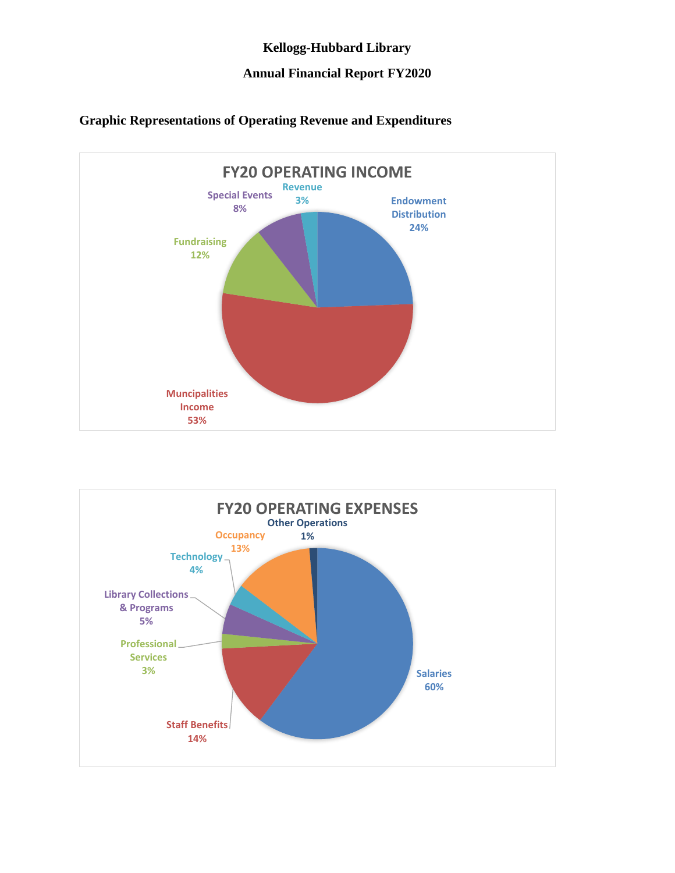### **Annual Financial Report FY2020**



## **Graphic Representations of Operating Revenue and Expenditures**